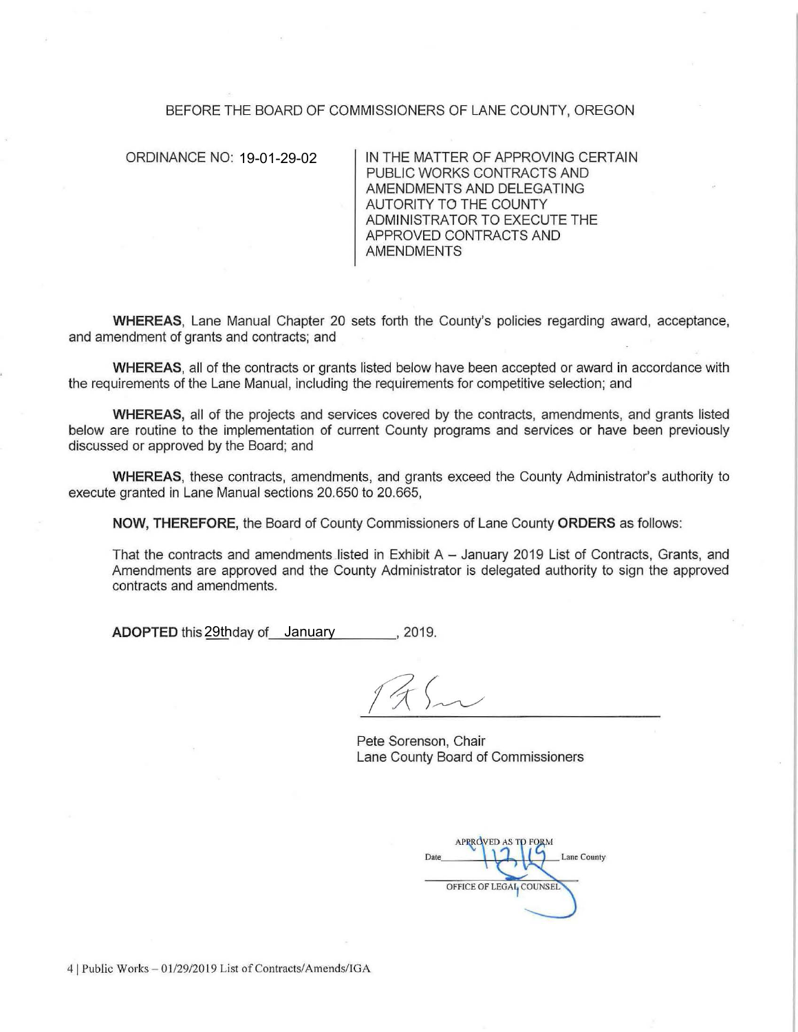## BEFORE THE BOARD OF COMMISSIONERS OF LANE COUNTY, OREGON

ORDINANCE NO: 19-01-29-02

IN THE MATTER OF APPROVING CERTAIN PUBLIC WORKS CONTRACTS AND AMENDMENTS AND DELEGATING AUTORITY TO THE COUNTY ADMINISTRATOR TO EXECUTE THE APPROVED CONTRACTS AND AMENDMENTS

**WHEREAS,** Lane Manual Chapter 20 sets forth the County's policies regarding award, acceptance, and amendment of grants and contracts; and

**WHEREAS,** all of the contracts or grants listed below have been accepted or award in accordance with the requirements of the Lane Manual, including the requirements for competitive selection; and

**WHEREAS,** all of the projects and services covered by the contracts, amendments, and grants listed below are routine to the implementation of current County programs and services or have been previously discussed or approved by the Board; and

**WHEREAS,** these contracts, amendments, and grants exceed the County Administrator's authority to execute granted in Lane Manual sections 20.650 to 20.665,

**NOW, THEREFORE,** the Board of County Commissioners of Lane County **ORDERS** as follows:

That the contracts and amendments listed in Exhibit  $A -$  January 2019 List of Contracts, Grants, and Amendments are approved and the County Administrator is delegated authority to sign the approved contracts and amendments.

**ADOPTED** this\_ day of \_\_\_\_\_\_\_ , 2019. 29th January

Pete Sorenson, Chair Lane County Board of Commissioners

APPROVED AS TO FORM **Lane County** OFFICE OF LEGAL COUNSEL

4 | Public Works - 01/29/2019 List of Contracts/Amends/IGA